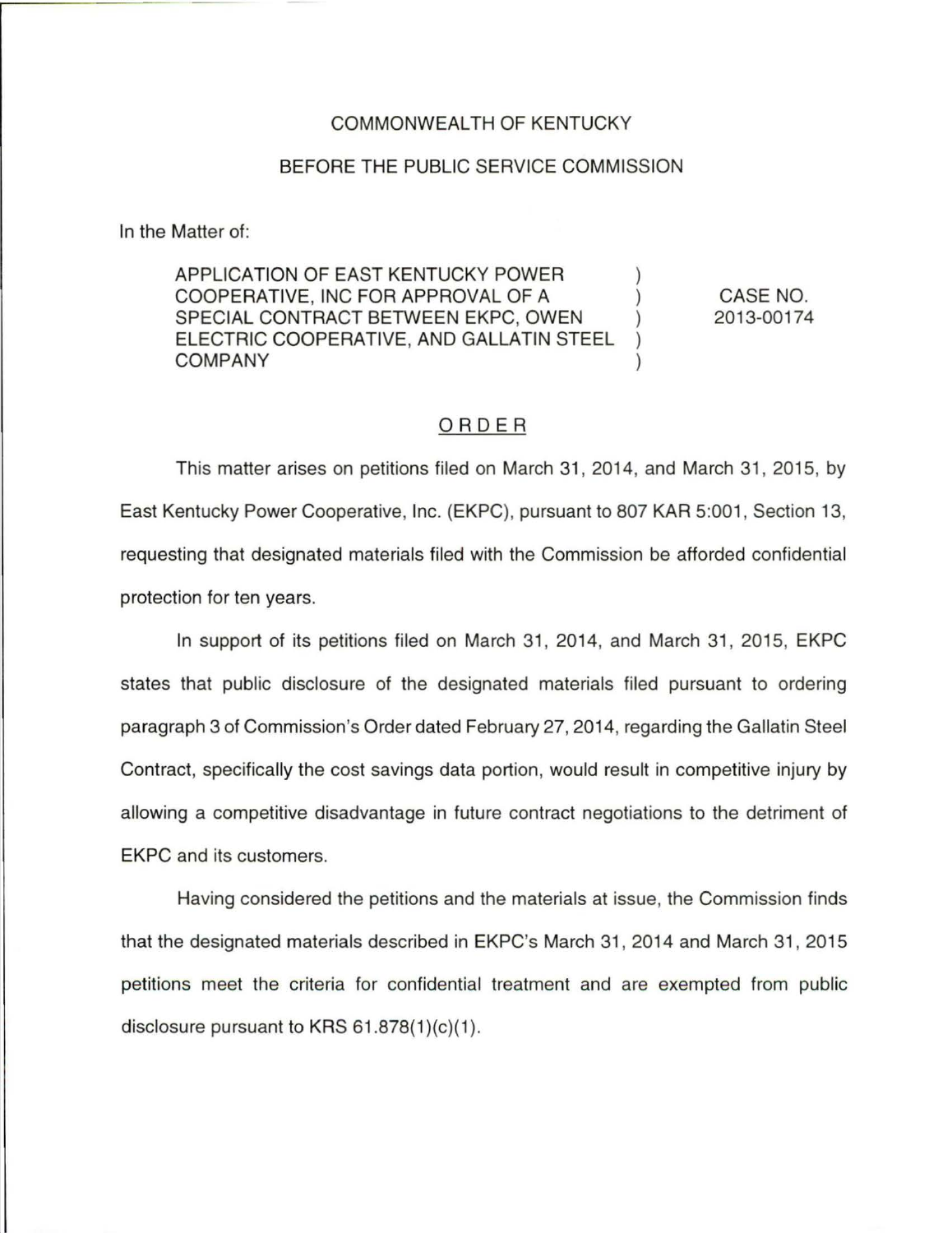## COMMONWEALTH OF KENTUCKY

## BEFORE THE PUBLIC SERVICE COMMISSION

In the Matter of:

APPLICATION OF EAST KENTUCKY POWER COOPERATIVE, INC FOR APPROVAL OF A ) SPECIAL CONTRACT BETWEEN EKPC, OWEN ) ELECTRIC COOPERATIVE, AND GALLATIN STEEL ) **COMPANY** 

CASE NO. 2013-00174

## ORDER

This matter arises on petitions tiled on March 31 , 2014, and March 31 , 2015, by East Kentucky Power Cooperative, Inc. (EKPC), pursuant to 807 KAR 5:001, Section 13, requesting that designated materials tiled with the Commission be afforded confidential protection for ten years.

In support of its petitions filed on March 31, 2014, and March 31, 2015, EKPC states that public disclosure of the designated materials filed pursuant to ordering paragraph 3 of Commission's Order dated February 27, 2014, regarding the Gallatin Steel Contract, specifically the cost savings data portion, would result in competitive injury by allowing a competitive disadvantage in future contract negotiations to the detriment of EKPC and its customers.

Having considered the petitions and the materials at issue, the Commission finds that the designated materials described in EKPC's March 31 , 2014 and March 31 , 2015 petitions meet the criteria tor confidential treatment and are exempted from public disclosure pursuant to KRS  $61.878(1)(c)(1)$ .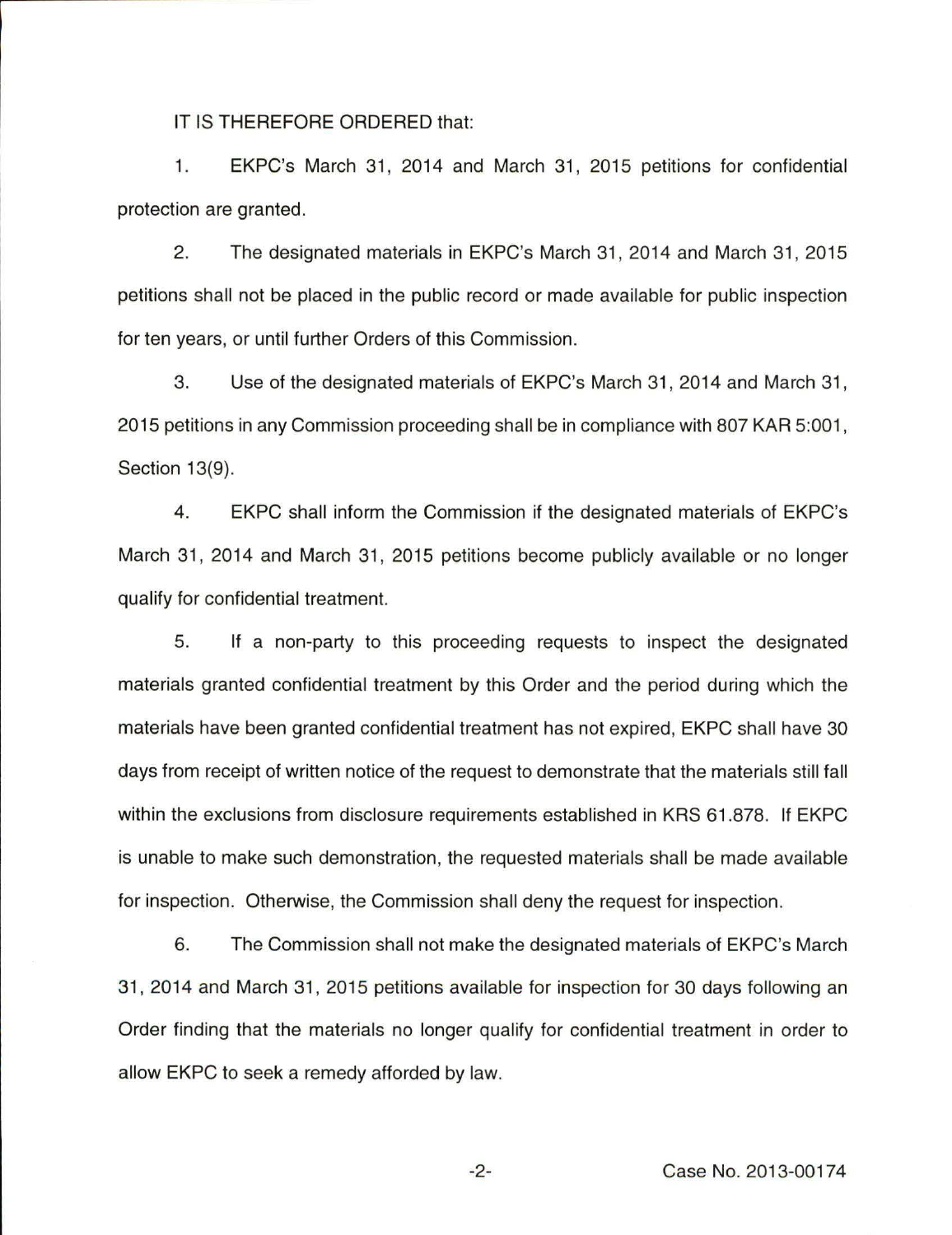IT IS THEREFORE ORDERED that:

1. EKPC's March 31 , 2014 and March 31, 2015 petitions for confidential protection are granted.

2. The designated materials in EKPC's March 31 , 2014 and March 31 , 2015 petitions shall not be placed in the public record or made available for public inspection for ten years, or until further Orders of this Commission.

3. Use of the designated materials of EKPC's March 31, 2014 and March 31, 2015 petitions in any Commission proceeding shall be in compliance with 807 KAR 5:001 , Section 13(9).

4. EKPC shall inform the Commission if the designated materials of EKPC's March 31 , 2014 and March 31, 2015 petitions become publicly available or no longer qualify for confidential treatment.

5. If a non-party to this proceeding requests to inspect the designated materials granted confidential treatment by this Order and the period during which the materials have been granted confidential treatment has not expired, EKPC shall have 30 days from receipt of written notice of the request to demonstrate that the materials still fall within the exclusions from disclosure requirements established in KRS 61.878. If EKPC is unable to make such demonstration, the requested materials shall be made available for inspection. Otherwise, the Commission shall deny the request for inspection.

6. The Commission shall not make the designated materials of EKPC's March 31, 2014 and March 31, 2015 petitions available for inspection for 30 days following an Order finding that the materials no longer qualify for confidential treatment in order to allow EKPC to seek a remedy afforded by law.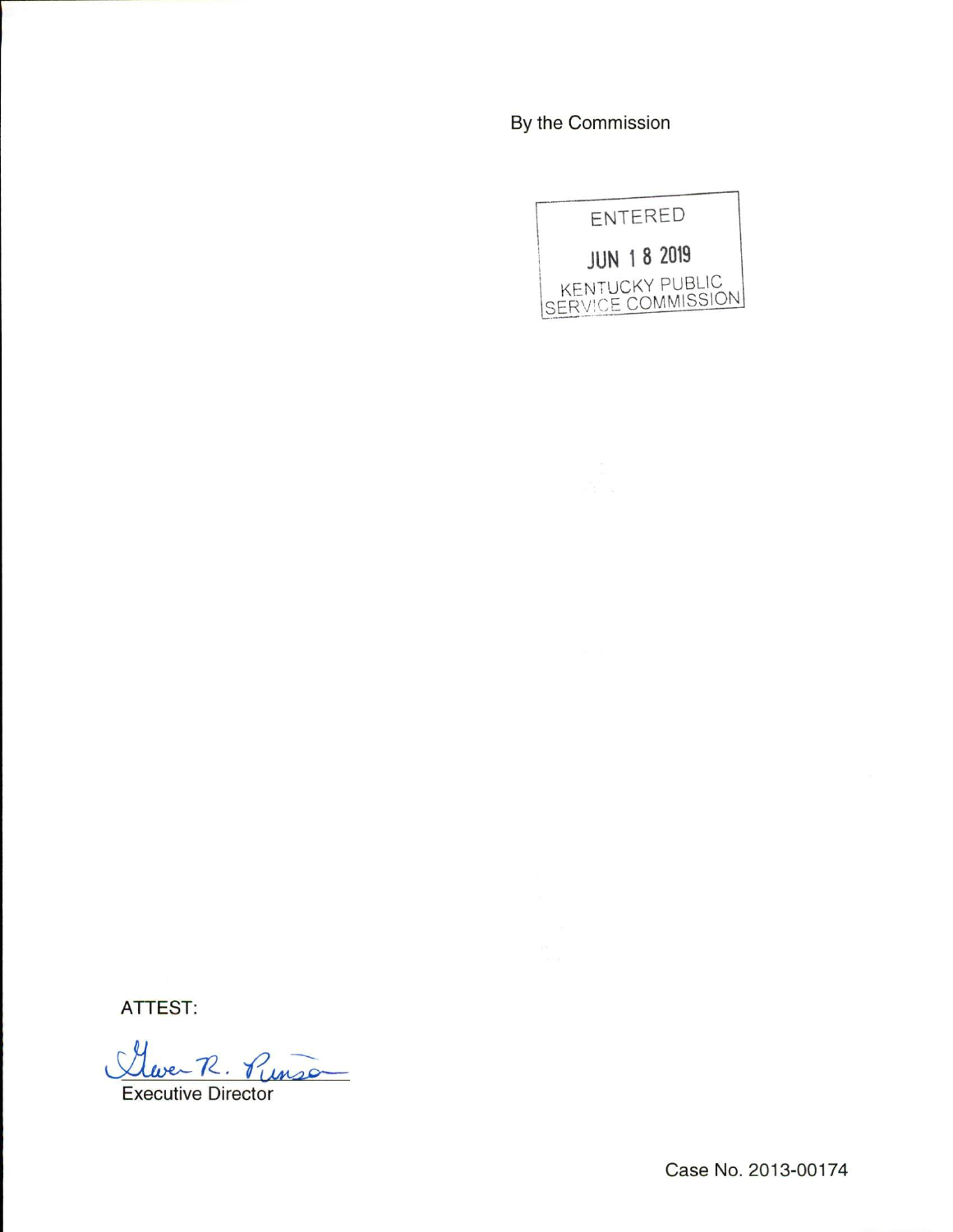By the Commission



ATTEST:

Cleve-R. Punso

Executive Director

Case No. 2013-00174